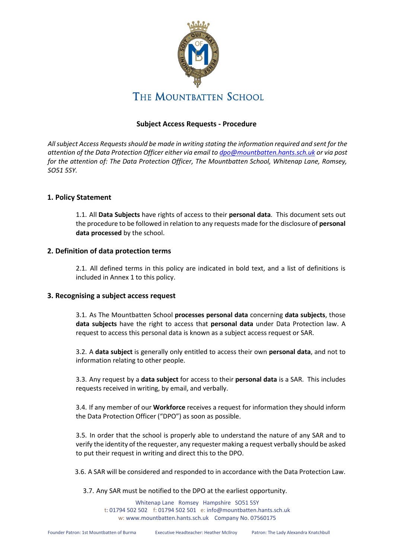

# **Subject Access Requests - Procedure**

*All subject Access Requests should be made in writing stating the information required and sent for the attention of the Data Protection Officer either via email to dpo@mountbatten.hants.sch.uk or via post for the attention of: The Data Protection Officer, The Mountbatten School, Whitenap Lane, Romsey, SO51 5SY.* 

## **1. Policy Statement**

1.1. All **Data Subjects** have rights of access to their **personal data**. This document sets out the procedure to be followed in relation to any requests made for the disclosure of **personal data processed** by the school.

## **2. Definition of data protection terms**

2.1. All defined terms in this policy are indicated in bold text, and a list of definitions is included in Annex 1 to this policy.

### **3. Recognising a subject access request**

3.1. As The Mountbatten School **processes personal data** concerning **data subjects**, those **data subjects** have the right to access that **personal data** under Data Protection law. A request to access this personal data is known as a subject access request or SAR.

3.2. A **data subject** is generally only entitled to access their own **personal data**, and not to information relating to other people.

3.3. Any request by a **data subject** for access to their **personal data** is a SAR. This includes requests received in writing, by email, and verbally.

3.4. If any member of our **Workforce** receives a request for information they should inform the Data Protection Officer ("DPO") as soon as possible.

3.5. In order that the school is properly able to understand the nature of any SAR and to verify the identity of the requester, any requester making a request verbally should be asked to put their request in writing and direct this to the DPO.

3.6. A SAR will be considered and responded to in accordance with the Data Protection Law.

3.7. Any SAR must be notified to the DPO at the earliest opportunity.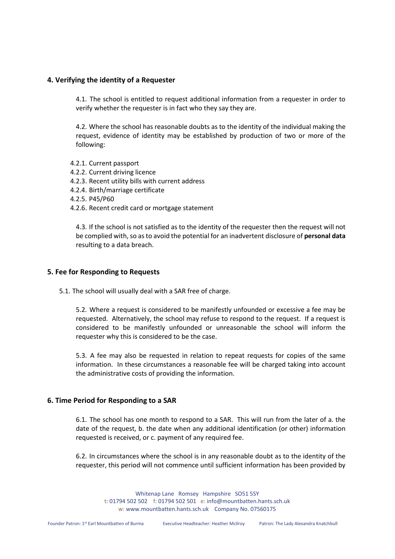## **4. Verifying the identity of a Requester**

4.1. The school is entitled to request additional information from a requester in order to verify whether the requester is in fact who they say they are.

4.2. Where the school has reasonable doubts as to the identity of the individual making the request, evidence of identity may be established by production of two or more of the following:

- 4.2.1. Current passport
- 4.2.2. Current driving licence
- 4.2.3. Recent utility bills with current address
- 4.2.4. Birth/marriage certificate
- 4.2.5. P45/P60
- 4.2.6. Recent credit card or mortgage statement

4.3. If the school is not satisfied as to the identity of the requester then the request will not be complied with, so as to avoid the potential for an inadvertent disclosure of **personal data** resulting to a data breach.

### **5. Fee for Responding to Requests**

5.1. The school will usually deal with a SAR free of charge.

5.2. Where a request is considered to be manifestly unfounded or excessive a fee may be requested. Alternatively, the school may refuse to respond to the request. If a request is considered to be manifestly unfounded or unreasonable the school will inform the requester why this is considered to be the case.

5.3. A fee may also be requested in relation to repeat requests for copies of the same information. In these circumstances a reasonable fee will be charged taking into account the administrative costs of providing the information.

### **6. Time Period for Responding to a SAR**

6.1. The school has one month to respond to a SAR. This will run from the later of a. the date of the request, b. the date when any additional identification (or other) information requested is received, or c. payment of any required fee.

6.2. In circumstances where the school is in any reasonable doubt as to the identity of the requester, this period will not commence until sufficient information has been provided by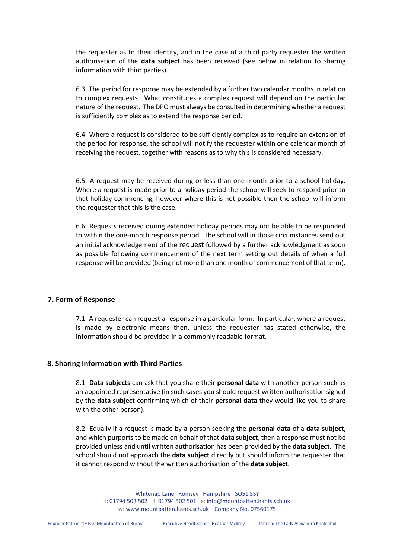the requester as to their identity, and in the case of a third party requester the written authorisation of the **data subject** has been received (see below in relation to sharing information with third parties).

6.3. The period for response may be extended by a further two calendar months in relation to complex requests. What constitutes a complex request will depend on the particular nature of the request. The DPO must always be consulted in determining whether a request is sufficiently complex as to extend the response period.

6.4. Where a request is considered to be sufficiently complex as to require an extension of the period for response, the school will notify the requester within one calendar month of receiving the request, together with reasons as to why this is considered necessary.

6.5. A request may be received during or less than one month prior to a school holiday. Where a request is made prior to a holiday period the school will seek to respond prior to that holiday commencing, however where this is not possible then the school will inform the requester that this is the case.

6.6. Requests received during extended holiday periods may not be able to be responded to within the one-month response period. The school will in those circumstances send out an initial acknowledgement of the request followed by a further acknowledgment as soon as possible following commencement of the next term setting out details of when a full response will be provided (being not more than one month of commencement of that term).

#### **7. Form of Response**

7.1. A requester can request a response in a particular form. In particular, where a request is made by electronic means then, unless the requester has stated otherwise, the information should be provided in a commonly readable format.

#### **8. Sharing Information with Third Parties**

8.1. **Data subjects** can ask that you share their **personal data** with another person such as an appointed representative (in such cases you should request written authorisation signed by the **data subject** confirming which of their **personal data** they would like you to share with the other person).

8.2. Equally if a request is made by a person seeking the **personal data** of a **data subject**, and which purports to be made on behalf of that **data subject**, then a response must not be provided unless and until written authorisation has been provided by the **data subject**. The school should not approach the **data subject** directly but should inform the requester that it cannot respond without the written authorisation of the **data subject**.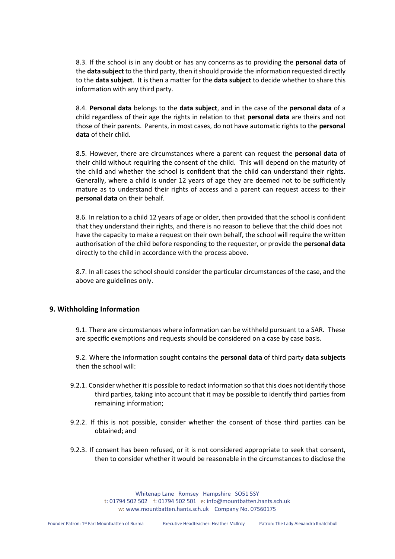8.3. If the school is in any doubt or has any concerns as to providing the **personal data** of the **data subject** to the third party, then it should provide the information requested directly to the **data subject**. It is then a matter for the **data subject** to decide whether to share this information with any third party.

8.4. **Personal data** belongs to the **data subject**, and in the case of the **personal data** of a child regardless of their age the rights in relation to that **personal data** are theirs and not those of their parents. Parents, in most cases, do not have automatic rights to the **personal data** of their child.

8.5. However, there are circumstances where a parent can request the **personal data** of their child without requiring the consent of the child. This will depend on the maturity of the child and whether the school is confident that the child can understand their rights. Generally, where a child is under 12 years of age they are deemed not to be sufficiently mature as to understand their rights of access and a parent can request access to their **personal data** on their behalf.

8.6. In relation to a child 12 years of age or older, then provided that the school is confident that they understand their rights, and there is no reason to believe that the child does not have the capacity to make a request on their own behalf, the school will require the written authorisation of the child before responding to the requester, or provide the **personal data** directly to the child in accordance with the process above.

8.7. In all cases the school should consider the particular circumstances of the case, and the above are guidelines only.

#### **9. Withholding Information**

9.1. There are circumstances where information can be withheld pursuant to a SAR. These are specific exemptions and requests should be considered on a case by case basis.

9.2. Where the information sought contains the **personal data** of third party **data subjects** then the school will:

- 9.2.1. Consider whether it is possible to redact information so that this does not identify those third parties, taking into account that it may be possible to identify third parties from remaining information;
- 9.2.2. If this is not possible, consider whether the consent of those third parties can be obtained; and
- 9.2.3. If consent has been refused, or it is not considered appropriate to seek that consent, then to consider whether it would be reasonable in the circumstances to disclose the